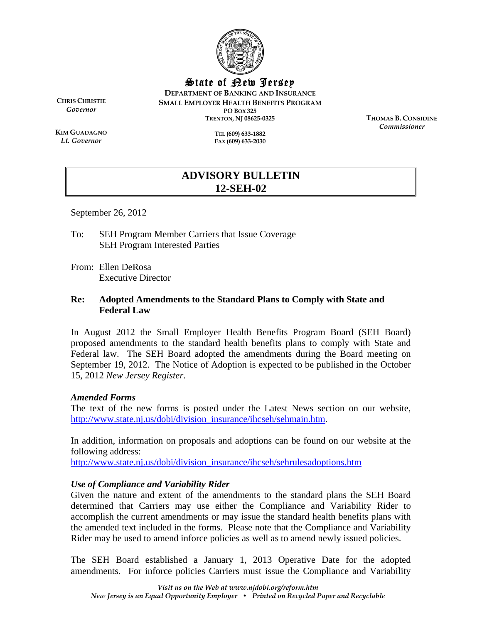

State of New Jersey

**DEPARTMENT OF BANKING AND INSURANCE SMALL EMPLOYER HEALTH BENEFITS PROGRAM PO BOX 325 TRENTON, NJ 08625-0325** 

**CHRIS CHRISTIE** *Governor* 

**KIM GUADAGNO** *Lt. Governor* 

**TEL (609) 633-1882 FAX (609) 633-2030**  **THOMAS B. CONSIDINE** *Commissioner* 

# **ADVISORY BULLETIN 12-SEH-02**

September 26, 2012

To: SEH Program Member Carriers that Issue Coverage SEH Program Interested Parties

From: Ellen DeRosa Executive Director

#### **Re: Adopted Amendments to the Standard Plans to Comply with State and Federal Law**

In August 2012 the Small Employer Health Benefits Program Board (SEH Board) proposed amendments to the standard health benefits plans to comply with State and Federal law. The SEH Board adopted the amendments during the Board meeting on September 19, 2012. The Notice of Adoption is expected to be published in the October 15, 2012 *New Jersey Register*.

#### *Amended Forms*

The text of the new forms is posted under the Latest News section on our website, http://www.state.nj.us/dobi/division\_insurance/ihcseh/sehmain.htm.

In addition, information on proposals and adoptions can be found on our website at the following address:

http://www.state.nj.us/dobi/division\_insurance/ihcseh/sehrulesadoptions.htm

### *Use of Compliance and Variability Rider*

Given the nature and extent of the amendments to the standard plans the SEH Board determined that Carriers may use either the Compliance and Variability Rider to accomplish the current amendments or may issue the standard health benefits plans with the amended text included in the forms. Please note that the Compliance and Variability Rider may be used to amend inforce policies as well as to amend newly issued policies.

The SEH Board established a January 1, 2013 Operative Date for the adopted amendments. For inforce policies Carriers must issue the Compliance and Variability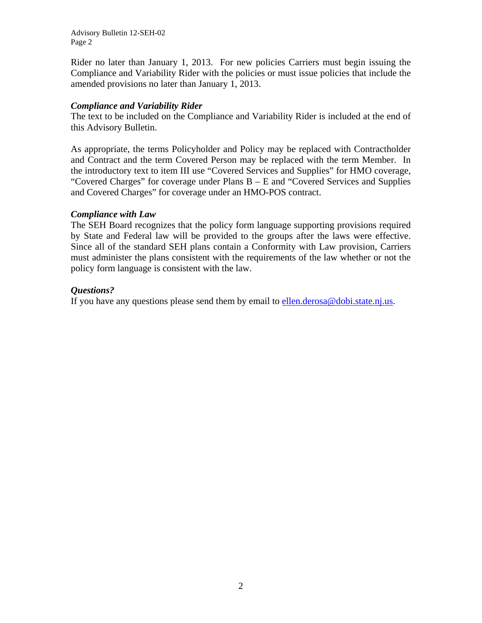Advisory Bulletin 12-SEH-02 Page 2

Rider no later than January 1, 2013. For new policies Carriers must begin issuing the Compliance and Variability Rider with the policies or must issue policies that include the amended provisions no later than January 1, 2013.

#### *Compliance and Variability Rider*

The text to be included on the Compliance and Variability Rider is included at the end of this Advisory Bulletin.

As appropriate, the terms Policyholder and Policy may be replaced with Contractholder and Contract and the term Covered Person may be replaced with the term Member. In the introductory text to item III use "Covered Services and Supplies" for HMO coverage, "Covered Charges" for coverage under Plans B – E and "Covered Services and Supplies and Covered Charges" for coverage under an HMO-POS contract.

#### *Compliance with Law*

The SEH Board recognizes that the policy form language supporting provisions required by State and Federal law will be provided to the groups after the laws were effective. Since all of the standard SEH plans contain a Conformity with Law provision, Carriers must administer the plans consistent with the requirements of the law whether or not the policy form language is consistent with the law.

### *Questions?*

If you have any questions please send them by email to ellen.derosa@dobi.state.nj.us.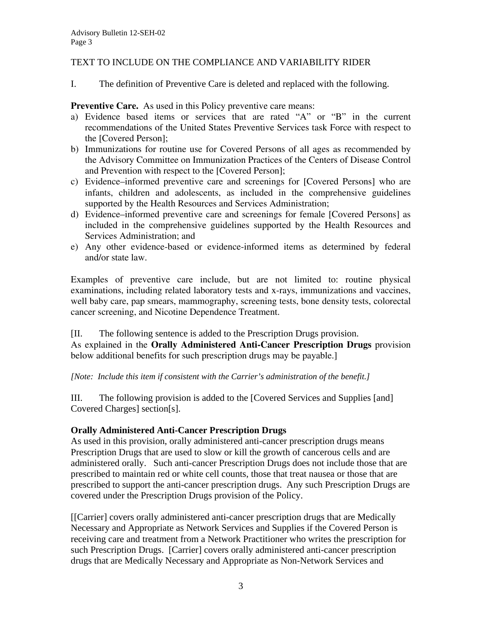### TEXT TO INCLUDE ON THE COMPLIANCE AND VARIABILITY RIDER

I. The definition of Preventive Care is deleted and replaced with the following.

**Preventive Care.** As used in this Policy preventive care means:

- a) Evidence based items or services that are rated "A" or "B" in the current recommendations of the United States Preventive Services task Force with respect to the [Covered Person];
- b) Immunizations for routine use for Covered Persons of all ages as recommended by the Advisory Committee on Immunization Practices of the Centers of Disease Control and Prevention with respect to the [Covered Person];
- c) Evidence–informed preventive care and screenings for [Covered Persons] who are infants, children and adolescents, as included in the comprehensive guidelines supported by the Health Resources and Services Administration;
- d) Evidence–informed preventive care and screenings for female [Covered Persons] as included in the comprehensive guidelines supported by the Health Resources and Services Administration; and
- e) Any other evidence-based or evidence-informed items as determined by federal and/or state law.

Examples of preventive care include, but are not limited to: routine physical examinations, including related laboratory tests and x-rays, immunizations and vaccines, well baby care, pap smears, mammography, screening tests, bone density tests, colorectal cancer screening, and Nicotine Dependence Treatment.

[II. The following sentence is added to the Prescription Drugs provision. As explained in the **Orally Administered Anti-Cancer Prescription Drugs** provision below additional benefits for such prescription drugs may be payable.]

*[Note: Include this item if consistent with the Carrier's administration of the benefit.]* 

III. The following provision is added to the [Covered Services and Supplies [and] Covered Charges] section[s].

## **Orally Administered Anti-Cancer Prescription Drugs**

As used in this provision, orally administered anti-cancer prescription drugs means Prescription Drugs that are used to slow or kill the growth of cancerous cells and are administered orally. Such anti-cancer Prescription Drugs does not include those that are prescribed to maintain red or white cell counts, those that treat nausea or those that are prescribed to support the anti-cancer prescription drugs. Any such Prescription Drugs are covered under the Prescription Drugs provision of the Policy.

[[Carrier] covers orally administered anti-cancer prescription drugs that are Medically Necessary and Appropriate as Network Services and Supplies if the Covered Person is receiving care and treatment from a Network Practitioner who writes the prescription for such Prescription Drugs. [Carrier] covers orally administered anti-cancer prescription drugs that are Medically Necessary and Appropriate as Non-Network Services and